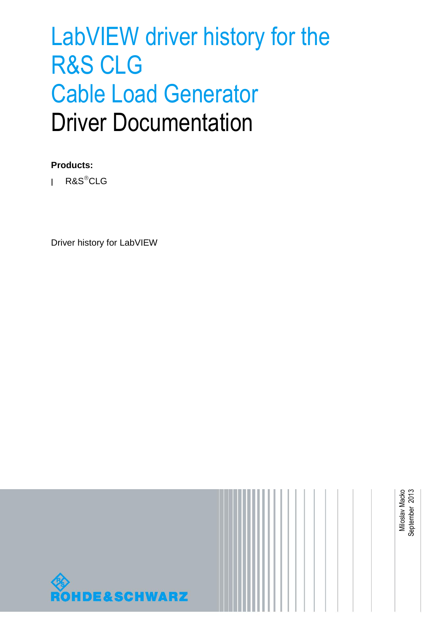# LabVIEW driver history for the R&S CLG Cable Load Generator Driver Documentation

### **Products:**

**<sup>|</sup>** R&SCLG

Driver history for LabVIEW

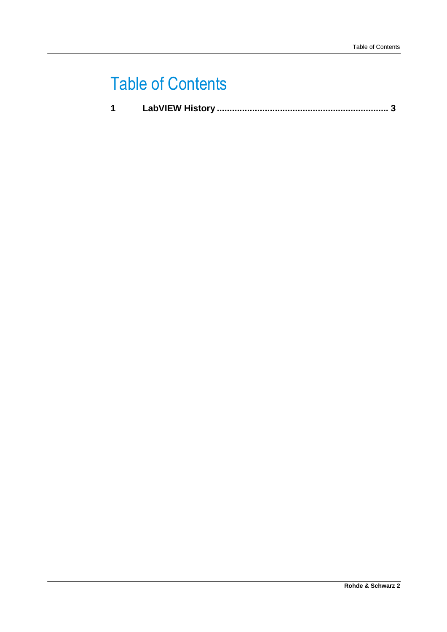### Table of Contents

|--|--|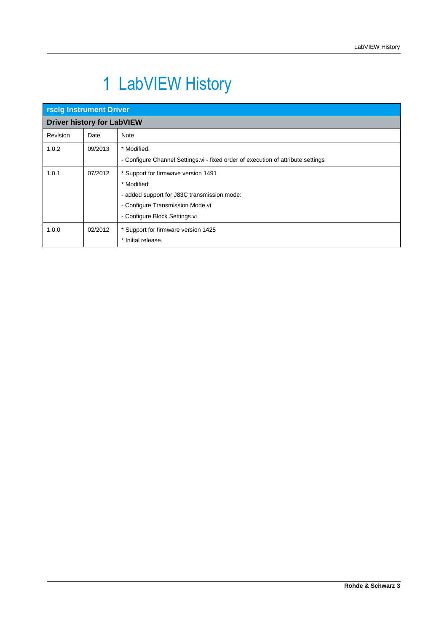## <span id="page-2-0"></span>1 LabVIEW History

| <b>rsclg Instrument Driver</b>    |         |                                                                                  |  |
|-----------------------------------|---------|----------------------------------------------------------------------------------|--|
| <b>Driver history for LabVIEW</b> |         |                                                                                  |  |
| Revision                          | Date    | Note                                                                             |  |
| 1.0.2                             | 09/2013 | * Modified:                                                                      |  |
|                                   |         | - Configure Channel Settings.vi - fixed order of execution of attribute settings |  |
| 1.0.1                             | 07/2012 | * Support for firmwave version 1491                                              |  |
|                                   |         | * Modified:                                                                      |  |
|                                   |         | - added support for J83C transmission mode:                                      |  |
|                                   |         | - Configure Transmission Mode.vi                                                 |  |
|                                   |         | - Configure Block Settings.vi                                                    |  |
| 1.0.0                             | 02/2012 | * Support for firmware version 1425                                              |  |
|                                   |         | * Initial release                                                                |  |